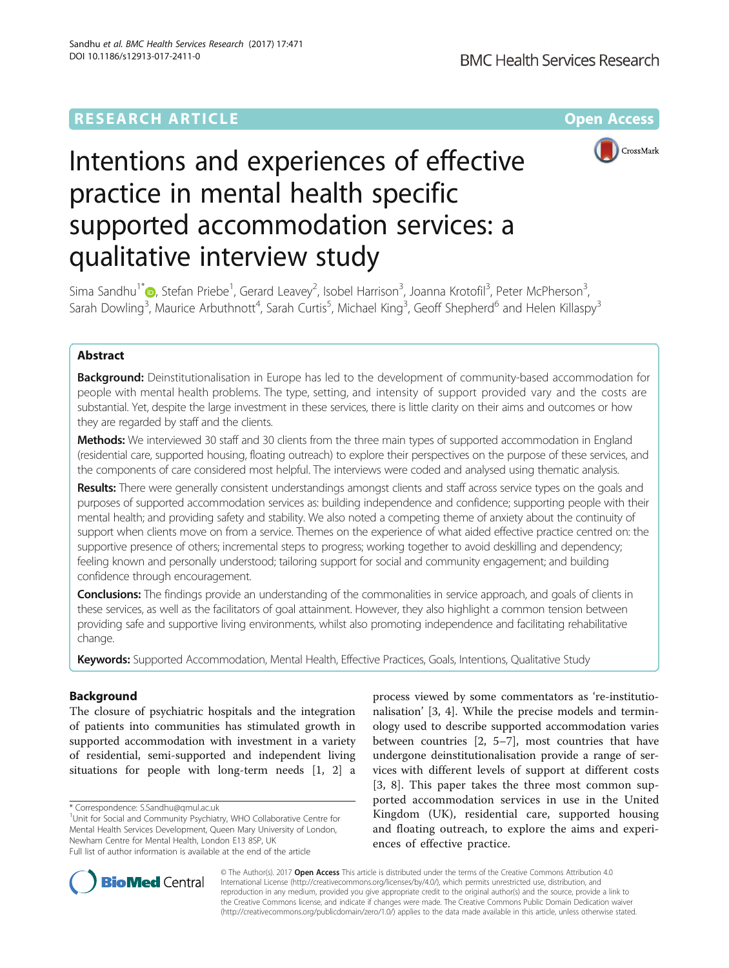# **RESEARCH ARTICLE External Structure Community Community Community Community Community Community Community Community**



# Intentions and experiences of effective practice in mental health specific supported accommodation services: a qualitative interview study

Sima Sandhu<sup>1[\\*](http://orcid.org/0000-0001-7563-3054)</sup>®, Stefan Priebe<sup>1</sup>, Gerard Leavey<sup>2</sup>, Isobel Harrison<sup>3</sup>, Joanna Krotofil<sup>3</sup>, Peter McPherson<sup>3</sup> , Sarah Dowling<sup>3</sup>, Maurice Arbuthnott<sup>4</sup>, Sarah Curtis<sup>5</sup>, Michael King<sup>3</sup>, Geoff Shepherd<sup>6</sup> and Helen Killaspy<sup>3</sup>

# Abstract

**Background:** Deinstitutionalisation in Europe has led to the development of community-based accommodation for people with mental health problems. The type, setting, and intensity of support provided vary and the costs are substantial. Yet, despite the large investment in these services, there is little clarity on their aims and outcomes or how they are regarded by staff and the clients.

Methods: We interviewed 30 staff and 30 clients from the three main types of supported accommodation in England (residential care, supported housing, floating outreach) to explore their perspectives on the purpose of these services, and the components of care considered most helpful. The interviews were coded and analysed using thematic analysis.

Results: There were generally consistent understandings amongst clients and staff across service types on the goals and purposes of supported accommodation services as: building independence and confidence; supporting people with their mental health; and providing safety and stability. We also noted a competing theme of anxiety about the continuity of support when clients move on from a service. Themes on the experience of what aided effective practice centred on: the supportive presence of others; incremental steps to progress; working together to avoid deskilling and dependency; feeling known and personally understood; tailoring support for social and community engagement; and building confidence through encouragement.

Conclusions: The findings provide an understanding of the commonalities in service approach, and goals of clients in these services, as well as the facilitators of goal attainment. However, they also highlight a common tension between providing safe and supportive living environments, whilst also promoting independence and facilitating rehabilitative change.

Keywords: Supported Accommodation, Mental Health, Effective Practices, Goals, Intentions, Qualitative Study

# Background

The closure of psychiatric hospitals and the integration of patients into communities has stimulated growth in supported accommodation with investment in a variety of residential, semi-supported and independent living situations for people with long-term needs [\[1](#page-11-0), [2\]](#page-11-0) a

\* Correspondence: [S.Sandhu@qmul.ac.uk](mailto:S.Sandhu@qmul.ac.uk) <sup>1</sup>

process viewed by some commentators as 're-institutionalisation' [\[3, 4\]](#page-11-0). While the precise models and terminology used to describe supported accommodation varies between countries [\[2](#page-11-0), [5](#page-11-0)–[7\]](#page-11-0), most countries that have undergone deinstitutionalisation provide a range of services with different levels of support at different costs [[3, 8\]](#page-11-0). This paper takes the three most common supported accommodation services in use in the United Kingdom (UK), residential care, supported housing and floating outreach, to explore the aims and experiences of effective practice.



© The Author(s). 2017 **Open Access** This article is distributed under the terms of the Creative Commons Attribution 4.0 International License [\(http://creativecommons.org/licenses/by/4.0/](http://creativecommons.org/licenses/by/4.0/)), which permits unrestricted use, distribution, and reproduction in any medium, provided you give appropriate credit to the original author(s) and the source, provide a link to the Creative Commons license, and indicate if changes were made. The Creative Commons Public Domain Dedication waiver [\(http://creativecommons.org/publicdomain/zero/1.0/](http://creativecommons.org/publicdomain/zero/1.0/)) applies to the data made available in this article, unless otherwise stated.

<sup>&</sup>lt;sup>1</sup>Unit for Social and Community Psychiatry, WHO Collaborative Centre for Mental Health Services Development, Queen Mary University of London, Newham Centre for Mental Health, London E13 8SP, UK Full list of author information is available at the end of the article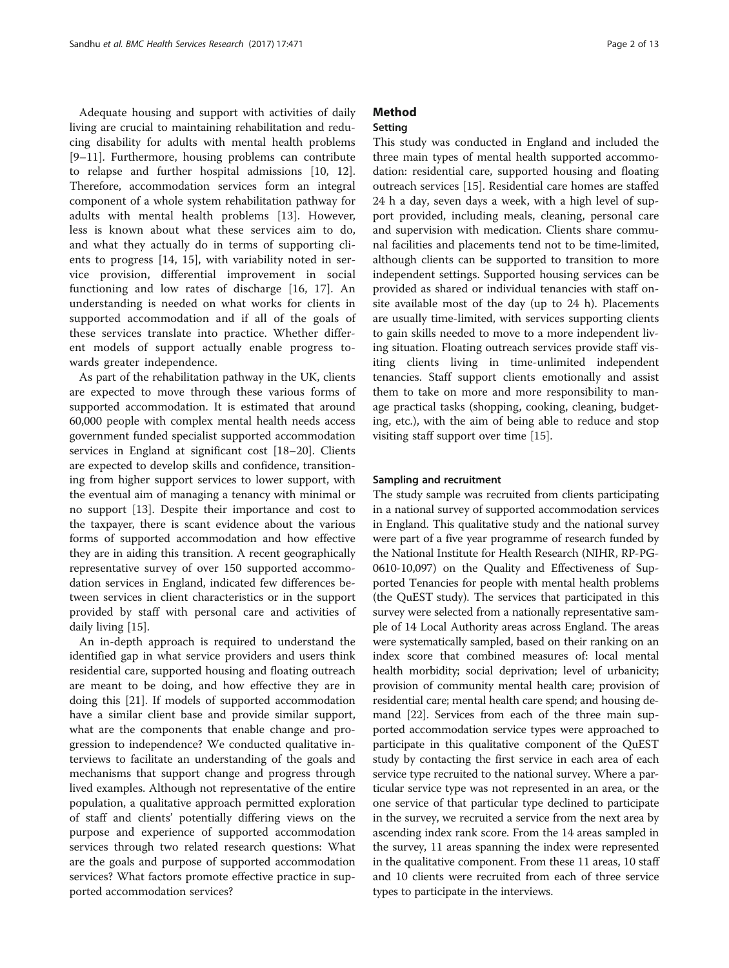Adequate housing and support with activities of daily living are crucial to maintaining rehabilitation and reducing disability for adults with mental health problems [[9](#page-11-0)–[11\]](#page-11-0). Furthermore, housing problems can contribute to relapse and further hospital admissions [[10, 12](#page-11-0)]. Therefore, accommodation services form an integral component of a whole system rehabilitation pathway for adults with mental health problems [[13\]](#page-11-0). However, less is known about what these services aim to do, and what they actually do in terms of supporting clients to progress [[14, 15\]](#page-11-0), with variability noted in service provision, differential improvement in social functioning and low rates of discharge [[16](#page-11-0), [17\]](#page-11-0). An understanding is needed on what works for clients in supported accommodation and if all of the goals of these services translate into practice. Whether different models of support actually enable progress towards greater independence.

As part of the rehabilitation pathway in the UK, clients are expected to move through these various forms of supported accommodation. It is estimated that around 60,000 people with complex mental health needs access government funded specialist supported accommodation services in England at significant cost [\[18](#page-11-0)–[20\]](#page-12-0). Clients are expected to develop skills and confidence, transitioning from higher support services to lower support, with the eventual aim of managing a tenancy with minimal or no support [\[13](#page-11-0)]. Despite their importance and cost to the taxpayer, there is scant evidence about the various forms of supported accommodation and how effective they are in aiding this transition. A recent geographically representative survey of over 150 supported accommodation services in England, indicated few differences between services in client characteristics or in the support provided by staff with personal care and activities of daily living [\[15\]](#page-11-0).

An in-depth approach is required to understand the identified gap in what service providers and users think residential care, supported housing and floating outreach are meant to be doing, and how effective they are in doing this [[21](#page-12-0)]. If models of supported accommodation have a similar client base and provide similar support, what are the components that enable change and progression to independence? We conducted qualitative interviews to facilitate an understanding of the goals and mechanisms that support change and progress through lived examples. Although not representative of the entire population, a qualitative approach permitted exploration of staff and clients' potentially differing views on the purpose and experience of supported accommodation services through two related research questions: What are the goals and purpose of supported accommodation services? What factors promote effective practice in supported accommodation services?

# Method

# Setting

This study was conducted in England and included the three main types of mental health supported accommodation: residential care, supported housing and floating outreach services [\[15](#page-11-0)]. Residential care homes are staffed 24 h a day, seven days a week, with a high level of support provided, including meals, cleaning, personal care and supervision with medication. Clients share communal facilities and placements tend not to be time-limited, although clients can be supported to transition to more independent settings. Supported housing services can be provided as shared or individual tenancies with staff onsite available most of the day (up to 24 h). Placements are usually time-limited, with services supporting clients to gain skills needed to move to a more independent living situation. Floating outreach services provide staff visiting clients living in time-unlimited independent tenancies. Staff support clients emotionally and assist them to take on more and more responsibility to manage practical tasks (shopping, cooking, cleaning, budgeting, etc.), with the aim of being able to reduce and stop visiting staff support over time [\[15](#page-11-0)].

## Sampling and recruitment

The study sample was recruited from clients participating in a national survey of supported accommodation services in England. This qualitative study and the national survey were part of a five year programme of research funded by the National Institute for Health Research (NIHR, RP-PG-0610-10,097) on the Quality and Effectiveness of Supported Tenancies for people with mental health problems (the QuEST study). The services that participated in this survey were selected from a nationally representative sample of 14 Local Authority areas across England. The areas were systematically sampled, based on their ranking on an index score that combined measures of: local mental health morbidity; social deprivation; level of urbanicity; provision of community mental health care; provision of residential care; mental health care spend; and housing demand [[22](#page-12-0)]. Services from each of the three main supported accommodation service types were approached to participate in this qualitative component of the QuEST study by contacting the first service in each area of each service type recruited to the national survey. Where a particular service type was not represented in an area, or the one service of that particular type declined to participate in the survey, we recruited a service from the next area by ascending index rank score. From the 14 areas sampled in the survey, 11 areas spanning the index were represented in the qualitative component. From these 11 areas, 10 staff and 10 clients were recruited from each of three service types to participate in the interviews.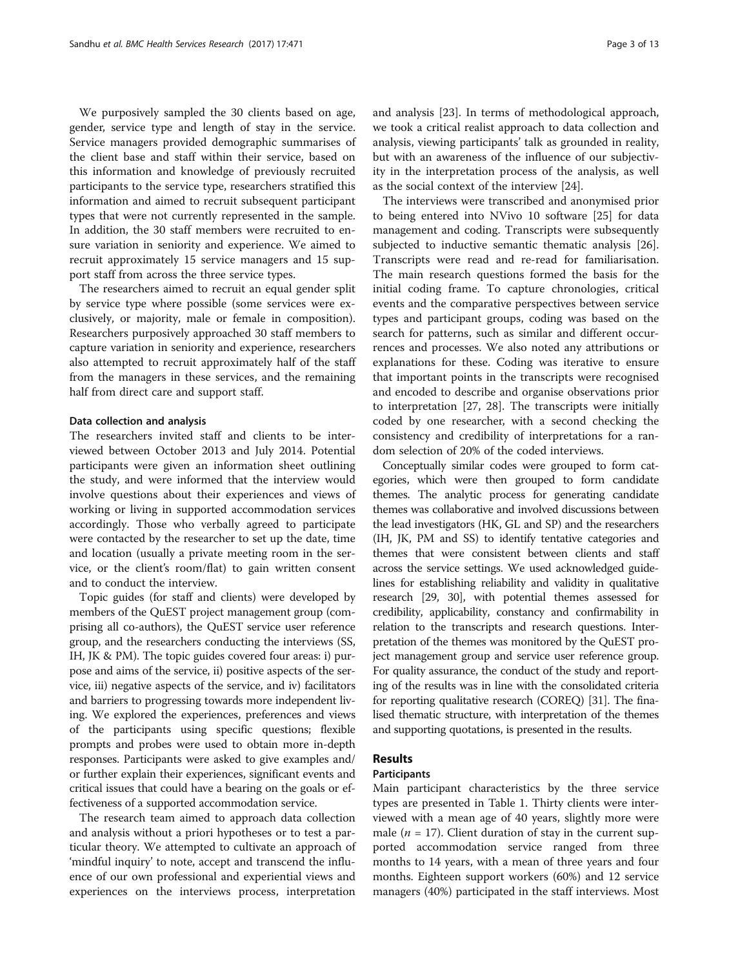We purposively sampled the 30 clients based on age, gender, service type and length of stay in the service. Service managers provided demographic summarises of the client base and staff within their service, based on this information and knowledge of previously recruited participants to the service type, researchers stratified this information and aimed to recruit subsequent participant types that were not currently represented in the sample. In addition, the 30 staff members were recruited to ensure variation in seniority and experience. We aimed to recruit approximately 15 service managers and 15 support staff from across the three service types.

The researchers aimed to recruit an equal gender split by service type where possible (some services were exclusively, or majority, male or female in composition). Researchers purposively approached 30 staff members to capture variation in seniority and experience, researchers also attempted to recruit approximately half of the staff from the managers in these services, and the remaining half from direct care and support staff.

#### Data collection and analysis

The researchers invited staff and clients to be interviewed between October 2013 and July 2014. Potential participants were given an information sheet outlining the study, and were informed that the interview would involve questions about their experiences and views of working or living in supported accommodation services accordingly. Those who verbally agreed to participate were contacted by the researcher to set up the date, time and location (usually a private meeting room in the service, or the client's room/flat) to gain written consent and to conduct the interview.

Topic guides (for staff and clients) were developed by members of the QuEST project management group (comprising all co-authors), the QuEST service user reference group, and the researchers conducting the interviews (SS, IH, JK & PM). The topic guides covered four areas: i) purpose and aims of the service, ii) positive aspects of the service, iii) negative aspects of the service, and iv) facilitators and barriers to progressing towards more independent living. We explored the experiences, preferences and views of the participants using specific questions; flexible prompts and probes were used to obtain more in-depth responses. Participants were asked to give examples and/ or further explain their experiences, significant events and critical issues that could have a bearing on the goals or effectiveness of a supported accommodation service.

The research team aimed to approach data collection and analysis without a priori hypotheses or to test a particular theory. We attempted to cultivate an approach of 'mindful inquiry' to note, accept and transcend the influence of our own professional and experiential views and experiences on the interviews process, interpretation and analysis [[23\]](#page-12-0). In terms of methodological approach, we took a critical realist approach to data collection and analysis, viewing participants' talk as grounded in reality, but with an awareness of the influence of our subjectivity in the interpretation process of the analysis, as well as the social context of the interview [[24](#page-12-0)].

The interviews were transcribed and anonymised prior to being entered into NVivo 10 software [[25](#page-12-0)] for data management and coding. Transcripts were subsequently subjected to inductive semantic thematic analysis [\[26](#page-12-0)]. Transcripts were read and re-read for familiarisation. The main research questions formed the basis for the initial coding frame. To capture chronologies, critical events and the comparative perspectives between service types and participant groups, coding was based on the search for patterns, such as similar and different occurrences and processes. We also noted any attributions or explanations for these. Coding was iterative to ensure that important points in the transcripts were recognised and encoded to describe and organise observations prior to interpretation [\[27, 28](#page-12-0)]. The transcripts were initially coded by one researcher, with a second checking the consistency and credibility of interpretations for a random selection of 20% of the coded interviews.

Conceptually similar codes were grouped to form categories, which were then grouped to form candidate themes. The analytic process for generating candidate themes was collaborative and involved discussions between the lead investigators (HK, GL and SP) and the researchers (IH, JK, PM and SS) to identify tentative categories and themes that were consistent between clients and staff across the service settings. We used acknowledged guidelines for establishing reliability and validity in qualitative research [\[29, 30](#page-12-0)], with potential themes assessed for credibility, applicability, constancy and confirmability in relation to the transcripts and research questions. Interpretation of the themes was monitored by the QuEST project management group and service user reference group. For quality assurance, the conduct of the study and reporting of the results was in line with the consolidated criteria for reporting qualitative research (COREQ) [[31](#page-12-0)]. The finalised thematic structure, with interpretation of the themes and supporting quotations, is presented in the results.

# Results

# Participants

Main participant characteristics by the three service types are presented in Table [1](#page-3-0). Thirty clients were interviewed with a mean age of 40 years, slightly more were male ( $n = 17$ ). Client duration of stay in the current supported accommodation service ranged from three months to 14 years, with a mean of three years and four months. Eighteen support workers (60%) and 12 service managers (40%) participated in the staff interviews. Most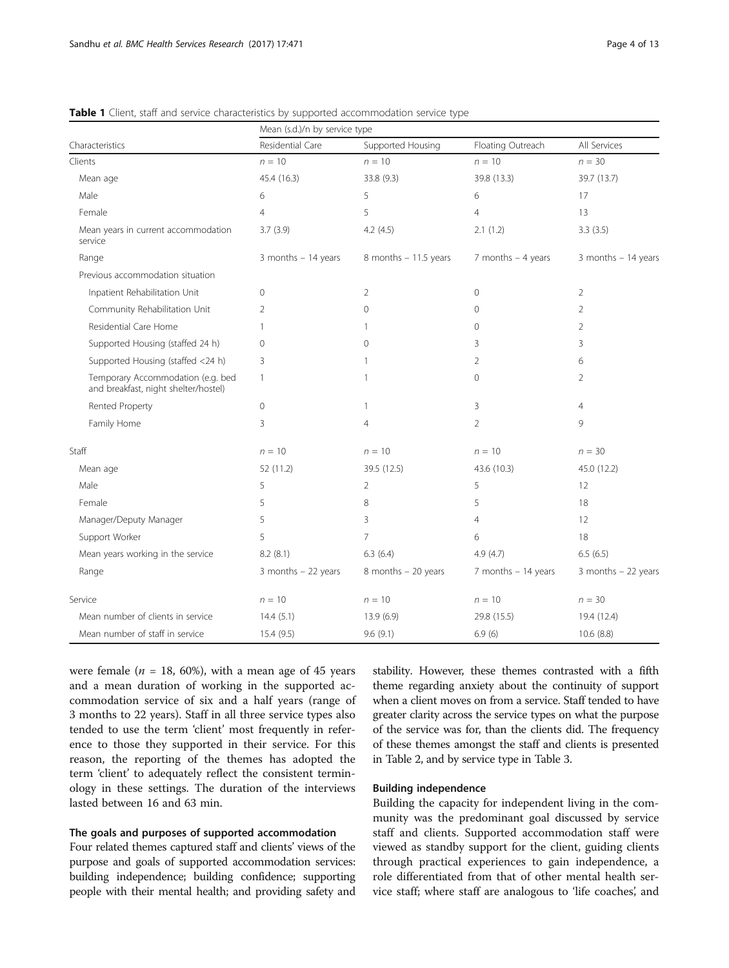|                                                                           | Mean (s.d.)/n by service type |                        |                     |                     |  |
|---------------------------------------------------------------------------|-------------------------------|------------------------|---------------------|---------------------|--|
| Characteristics                                                           | Residential Care              | Supported Housing      | Floating Outreach   | All Services        |  |
| Clients                                                                   | $n = 10$                      | $n = 10$               | $n = 10$            | $n = 30$            |  |
| Mean age                                                                  | 45.4 (16.3)                   | 33.8 (9.3)             | 39.8 (13.3)         | 39.7 (13.7)         |  |
| Male                                                                      | 6                             | 5                      | 6                   | 17                  |  |
| Female                                                                    | $\overline{4}$                | 5                      | $\overline{4}$      | 13                  |  |
| Mean years in current accommodation<br>service                            | 3.7(3.9)                      | 4.2(4.5)               | 2.1(1.2)            | 3.3(3.5)            |  |
| Range                                                                     | 3 months $-14$ years          | 8 months $-11.5$ years | 7 months $-4$ years | 3 months - 14 years |  |
| Previous accommodation situation                                          |                               |                        |                     |                     |  |
| Inpatient Rehabilitation Unit                                             | 0                             | $\overline{2}$         | $\mathbf{0}$        | 2                   |  |
| Community Rehabilitation Unit                                             | 2                             | $\Omega$               | $\Omega$            | $\overline{2}$      |  |
| Residential Care Home                                                     | $\mathbf{1}$                  | 1                      | $\circ$             | 2                   |  |
| Supported Housing (staffed 24 h)                                          | $\mathbf{0}$                  | $\Omega$               | 3                   | 3                   |  |
| Supported Housing (staffed <24 h)                                         | 3                             | $\mathbf{1}$           | 2                   | 6                   |  |
| Temporary Accommodation (e.g. bed<br>and breakfast, night shelter/hostel) | $\mathbf{1}$                  | $\mathbf{1}$           | $\Omega$            | $\overline{2}$      |  |
| Rented Property                                                           | $\mathbf 0$                   | $\mathbf{1}$           | 3                   | $\overline{4}$      |  |
| Family Home                                                               | 3                             | $\overline{4}$         | $\overline{2}$      | 9                   |  |
| Staff                                                                     | $n = 10$                      | $n = 10$               | $n = 10$            | $n = 30$            |  |
| Mean age                                                                  | 52 (11.2)                     | 39.5 (12.5)            | 43.6 (10.3)         | 45.0 (12.2)         |  |
| Male                                                                      | 5                             | 2                      | 5                   | 12                  |  |
| Female                                                                    | 5                             | 8                      | 5                   | 18                  |  |
| Manager/Deputy Manager                                                    | 5                             | 3                      | $\overline{4}$      | 12                  |  |
| Support Worker                                                            | 5                             | $\overline{7}$         | 6                   | 18                  |  |
| Mean years working in the service                                         | 8.2(8.1)                      | 6.3(6.4)               | 4.9(4.7)            | 6.5(6.5)            |  |
| Range                                                                     | 3 months - 22 years           | 8 months - 20 years    | 7 months - 14 years | 3 months - 22 years |  |
| Service                                                                   | $n = 10$                      | $n = 10$               | $n = 10$            | $n = 30$            |  |
| Mean number of clients in service                                         | 14.4(5.1)                     | 13.9 (6.9)             | 29.8 (15.5)         | 19.4 (12.4)         |  |
| Mean number of staff in service                                           | 15.4(9.5)                     | 9.6(9.1)               | 6.9(6)              | 10.6(8.8)           |  |

<span id="page-3-0"></span>Table 1 Client, staff and service characteristics by supported accommodation service type

were female ( $n = 18, 60\%$ ), with a mean age of 45 years and a mean duration of working in the supported accommodation service of six and a half years (range of 3 months to 22 years). Staff in all three service types also tended to use the term 'client' most frequently in reference to those they supported in their service. For this reason, the reporting of the themes has adopted the term 'client' to adequately reflect the consistent terminology in these settings. The duration of the interviews lasted between 16 and 63 min.

# The goals and purposes of supported accommodation

Four related themes captured staff and clients' views of the purpose and goals of supported accommodation services: building independence; building confidence; supporting people with their mental health; and providing safety and

stability. However, these themes contrasted with a fifth theme regarding anxiety about the continuity of support when a client moves on from a service. Staff tended to have greater clarity across the service types on what the purpose of the service was for, than the clients did. The frequency of these themes amongst the staff and clients is presented in Table [2,](#page-4-0) and by service type in Table [3](#page-4-0).

# Building independence

Building the capacity for independent living in the community was the predominant goal discussed by service staff and clients. Supported accommodation staff were viewed as standby support for the client, guiding clients through practical experiences to gain independence, a role differentiated from that of other mental health service staff; where staff are analogous to 'life coaches', and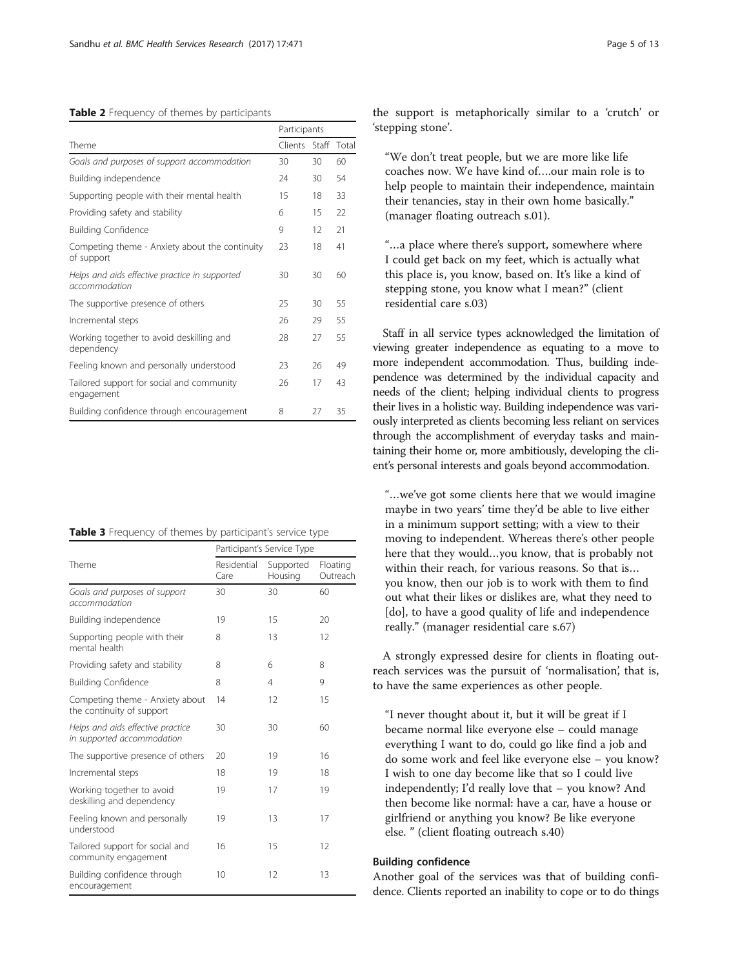# <span id="page-4-0"></span>Table 2 Frequency of themes by participants

|                                                                 | Participants |       |       |
|-----------------------------------------------------------------|--------------|-------|-------|
| Theme                                                           | Clients      | Staff | Total |
| Goals and purposes of support accommodation                     | 30           | 30    | 60    |
| Building independence                                           | 24           | 30    | 54    |
| Supporting people with their mental health                      | 15           | 18    | 33    |
| Providing safety and stability                                  | 6            | 15    | 22    |
| <b>Building Confidence</b>                                      | 9            | 12    | 21    |
| Competing theme - Anxiety about the continuity<br>of support    | 23           | 18    | 41    |
| Helps and aids effective practice in supported<br>accommodation | 30           | 30    | 60    |
| The supportive presence of others                               | 25           | 30    | 55    |
| Incremental steps                                               | 26           | 29    | 55    |
| Working together to avoid deskilling and<br>dependency          | 28           | 27    | 55    |
| Feeling known and personally understood                         | 23           | 26    | 49    |
| Tailored support for social and community<br>engagement         | 26           | 17    | 43    |
| Building confidence through encouragement                       | 8            | 27    | 35    |

| Table 3 Frequency of themes by participant's service type |  |  |
|-----------------------------------------------------------|--|--|
|-----------------------------------------------------------|--|--|

|                                                                 | Participant's Service Type |                      |                      |  |
|-----------------------------------------------------------------|----------------------------|----------------------|----------------------|--|
| Theme                                                           | Residential<br>Care        | Supported<br>Housing | Floating<br>Outreach |  |
| Goals and purposes of support<br>accommodation                  | 30                         | 30                   | 60                   |  |
| Building independence                                           | 19                         | 15                   | 20                   |  |
| Supporting people with their<br>mental health                   | 8                          | 13                   | 12                   |  |
| Providing safety and stability                                  | 8                          | 6                    | 8                    |  |
| <b>Building Confidence</b>                                      | 8                          | $\overline{4}$       | 9                    |  |
| Competing theme - Anxiety about<br>the continuity of support    | 14                         | 12                   | 15                   |  |
| Helps and aids effective practice<br>in supported accommodation | 30                         | 30                   | 60                   |  |
| The supportive presence of others                               | 20                         | 19                   | 16                   |  |
| Incremental steps                                               | 18                         | 19                   | 18                   |  |
| Working together to avoid<br>deskilling and dependency          | 19                         | 17                   | 19                   |  |
| Feeling known and personally<br>understood                      | 19                         | 13                   | 17                   |  |
| Tailored support for social and<br>community engagement         | 16                         | 15                   | 12                   |  |
| Building confidence through<br>encouragement                    | 10                         | 12                   | 13                   |  |

the support is metaphorically similar to a 'crutch' or 'stepping stone'.

"We don't treat people, but we are more like life coaches now. We have kind of….our main role is to help people to maintain their independence, maintain their tenancies, stay in their own home basically." (manager floating outreach s.01).

"…a place where there's support, somewhere where I could get back on my feet, which is actually what this place is, you know, based on. It's like a kind of stepping stone, you know what I mean?" (client residential care s.03)

Staff in all service types acknowledged the limitation of viewing greater independence as equating to a move to more independent accommodation. Thus, building independence was determined by the individual capacity and needs of the client; helping individual clients to progress their lives in a holistic way. Building independence was variously interpreted as clients becoming less reliant on services through the accomplishment of everyday tasks and maintaining their home or, more ambitiously, developing the client's personal interests and goals beyond accommodation.

"…we've got some clients here that we would imagine maybe in two years' time they'd be able to live either in a minimum support setting; with a view to their moving to independent. Whereas there's other people here that they would…you know, that is probably not within their reach, for various reasons. So that is… you know, then our job is to work with them to find out what their likes or dislikes are, what they need to [do], to have a good quality of life and independence really." (manager residential care s.67)

A strongly expressed desire for clients in floating outreach services was the pursuit of 'normalisation', that is, to have the same experiences as other people.

"I never thought about it, but it will be great if I became normal like everyone else – could manage everything I want to do, could go like find a job and do some work and feel like everyone else – you know? I wish to one day become like that so I could live independently; I'd really love that – you know? And then become like normal: have a car, have a house or girlfriend or anything you know? Be like everyone else. " (client floating outreach s.40)

# Building confidence

Another goal of the services was that of building confidence. Clients reported an inability to cope or to do things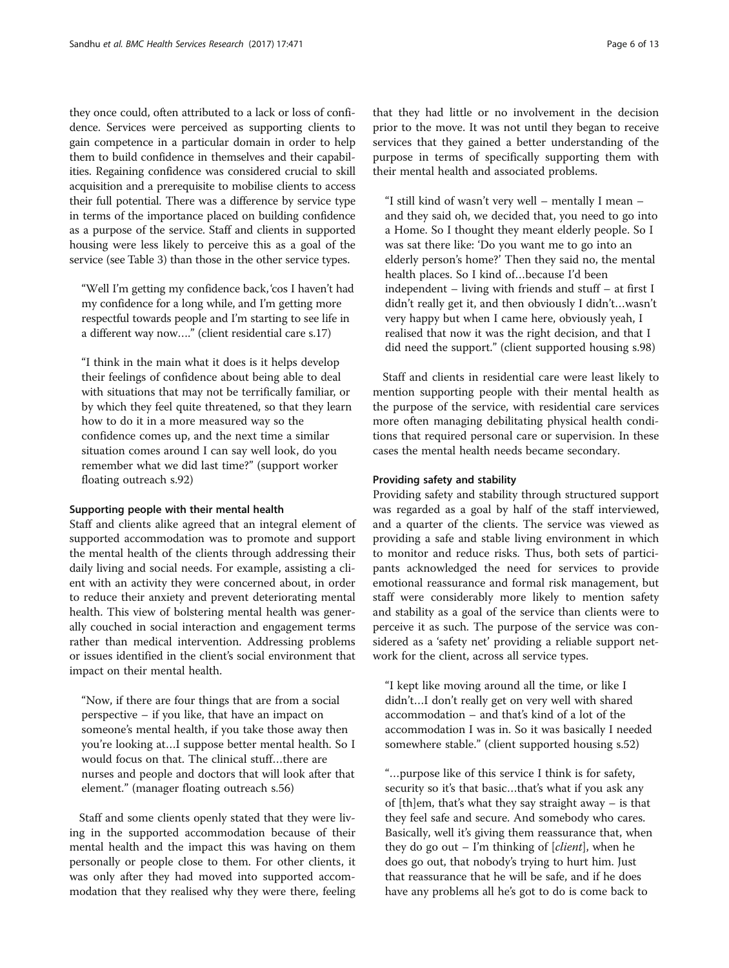they once could, often attributed to a lack or loss of confidence. Services were perceived as supporting clients to gain competence in a particular domain in order to help them to build confidence in themselves and their capabilities. Regaining confidence was considered crucial to skill acquisition and a prerequisite to mobilise clients to access their full potential. There was a difference by service type in terms of the importance placed on building confidence as a purpose of the service. Staff and clients in supported housing were less likely to perceive this as a goal of the service (see Table [3](#page-4-0)) than those in the other service types.

"Well I'm getting my confidence back, 'cos I haven't had my confidence for a long while, and I'm getting more respectful towards people and I'm starting to see life in a different way now…." (client residential care s.17)

"I think in the main what it does is it helps develop their feelings of confidence about being able to deal with situations that may not be terrifically familiar, or by which they feel quite threatened, so that they learn how to do it in a more measured way so the confidence comes up, and the next time a similar situation comes around I can say well look, do you remember what we did last time?" (support worker floating outreach s.92)

## Supporting people with their mental health

Staff and clients alike agreed that an integral element of supported accommodation was to promote and support the mental health of the clients through addressing their daily living and social needs. For example, assisting a client with an activity they were concerned about, in order to reduce their anxiety and prevent deteriorating mental health. This view of bolstering mental health was generally couched in social interaction and engagement terms rather than medical intervention. Addressing problems or issues identified in the client's social environment that impact on their mental health.

"Now, if there are four things that are from a social perspective – if you like, that have an impact on someone's mental health, if you take those away then you're looking at…I suppose better mental health. So I would focus on that. The clinical stuff…there are nurses and people and doctors that will look after that element." (manager floating outreach s.56)

Staff and some clients openly stated that they were living in the supported accommodation because of their mental health and the impact this was having on them personally or people close to them. For other clients, it was only after they had moved into supported accommodation that they realised why they were there, feeling that they had little or no involvement in the decision prior to the move. It was not until they began to receive services that they gained a better understanding of the purpose in terms of specifically supporting them with their mental health and associated problems.

"I still kind of wasn't very well – mentally I mean – and they said oh, we decided that, you need to go into a Home. So I thought they meant elderly people. So I was sat there like: 'Do you want me to go into an elderly person's home?' Then they said no, the mental health places. So I kind of…because I'd been independent – living with friends and stuff – at first I didn't really get it, and then obviously I didn't…wasn't very happy but when I came here, obviously yeah, I realised that now it was the right decision, and that I did need the support." (client supported housing s.98)

Staff and clients in residential care were least likely to mention supporting people with their mental health as the purpose of the service, with residential care services more often managing debilitating physical health conditions that required personal care or supervision. In these cases the mental health needs became secondary.

## Providing safety and stability

Providing safety and stability through structured support was regarded as a goal by half of the staff interviewed, and a quarter of the clients. The service was viewed as providing a safe and stable living environment in which to monitor and reduce risks. Thus, both sets of participants acknowledged the need for services to provide emotional reassurance and formal risk management, but staff were considerably more likely to mention safety and stability as a goal of the service than clients were to perceive it as such. The purpose of the service was considered as a 'safety net' providing a reliable support network for the client, across all service types.

"I kept like moving around all the time, or like I didn't…I don't really get on very well with shared accommodation – and that's kind of a lot of the accommodation I was in. So it was basically I needed somewhere stable." (client supported housing s.52)

"…purpose like of this service I think is for safety, security so it's that basic…that's what if you ask any of [th]em, that's what they say straight away – is that they feel safe and secure. And somebody who cares. Basically, well it's giving them reassurance that, when they do go out  $-$  I'm thinking of [*client*], when he does go out, that nobody's trying to hurt him. Just that reassurance that he will be safe, and if he does have any problems all he's got to do is come back to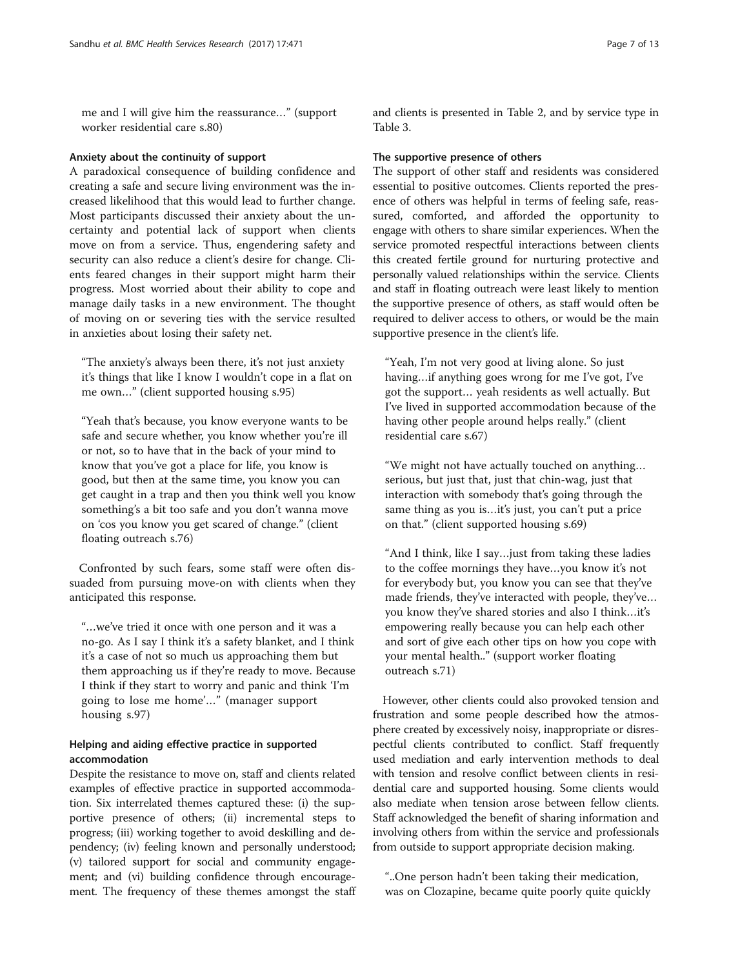me and I will give him the reassurance…" (support worker residential care s.80)

# Anxiety about the continuity of support

A paradoxical consequence of building confidence and creating a safe and secure living environment was the increased likelihood that this would lead to further change. Most participants discussed their anxiety about the uncertainty and potential lack of support when clients move on from a service. Thus, engendering safety and security can also reduce a client's desire for change. Clients feared changes in their support might harm their progress. Most worried about their ability to cope and manage daily tasks in a new environment. The thought of moving on or severing ties with the service resulted in anxieties about losing their safety net.

"The anxiety's always been there, it's not just anxiety it's things that like I know I wouldn't cope in a flat on me own…" (client supported housing s.95)

"Yeah that's because, you know everyone wants to be safe and secure whether, you know whether you're ill or not, so to have that in the back of your mind to know that you've got a place for life, you know is good, but then at the same time, you know you can get caught in a trap and then you think well you know something's a bit too safe and you don't wanna move on 'cos you know you get scared of change." (client floating outreach s.76)

Confronted by such fears, some staff were often dissuaded from pursuing move-on with clients when they anticipated this response.

"…we've tried it once with one person and it was a no-go. As I say I think it's a safety blanket, and I think it's a case of not so much us approaching them but them approaching us if they're ready to move. Because I think if they start to worry and panic and think 'I'm going to lose me home'…" (manager support housing s.97)

# Helping and aiding effective practice in supported accommodation

Despite the resistance to move on, staff and clients related examples of effective practice in supported accommodation. Six interrelated themes captured these: (i) the supportive presence of others; (ii) incremental steps to progress; (iii) working together to avoid deskilling and dependency; (iv) feeling known and personally understood; (v) tailored support for social and community engagement; and (vi) building confidence through encouragement. The frequency of these themes amongst the staff and clients is presented in Table [2](#page-4-0), and by service type in Table [3.](#page-4-0)

# The supportive presence of others

The support of other staff and residents was considered essential to positive outcomes. Clients reported the presence of others was helpful in terms of feeling safe, reassured, comforted, and afforded the opportunity to engage with others to share similar experiences. When the service promoted respectful interactions between clients this created fertile ground for nurturing protective and personally valued relationships within the service. Clients and staff in floating outreach were least likely to mention the supportive presence of others, as staff would often be required to deliver access to others, or would be the main supportive presence in the client's life.

"Yeah, I'm not very good at living alone. So just having…if anything goes wrong for me I've got, I've got the support… yeah residents as well actually. But I've lived in supported accommodation because of the having other people around helps really." (client residential care s.67)

"We might not have actually touched on anything… serious, but just that, just that chin-wag, just that interaction with somebody that's going through the same thing as you is…it's just, you can't put a price on that." (client supported housing s.69)

"And I think, like I say…just from taking these ladies to the coffee mornings they have…you know it's not for everybody but, you know you can see that they've made friends, they've interacted with people, they've… you know they've shared stories and also I think…it's empowering really because you can help each other and sort of give each other tips on how you cope with your mental health.." (support worker floating outreach s.71)

However, other clients could also provoked tension and frustration and some people described how the atmosphere created by excessively noisy, inappropriate or disrespectful clients contributed to conflict. Staff frequently used mediation and early intervention methods to deal with tension and resolve conflict between clients in residential care and supported housing. Some clients would also mediate when tension arose between fellow clients. Staff acknowledged the benefit of sharing information and involving others from within the service and professionals from outside to support appropriate decision making.

"..One person hadn't been taking their medication, was on Clozapine, became quite poorly quite quickly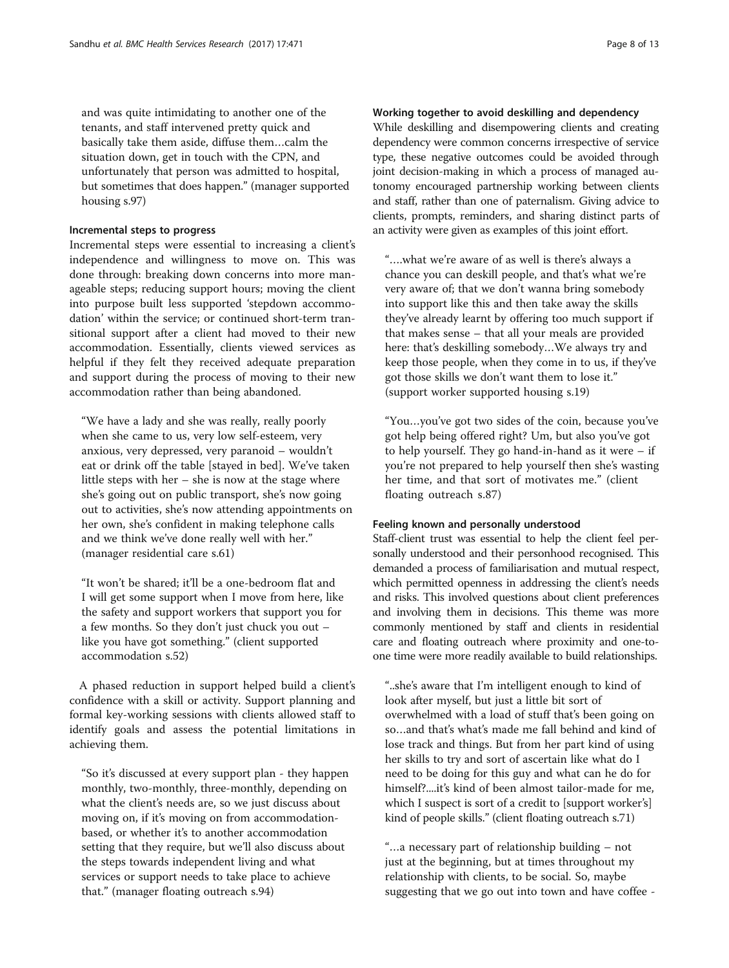and was quite intimidating to another one of the tenants, and staff intervened pretty quick and basically take them aside, diffuse them…calm the situation down, get in touch with the CPN, and unfortunately that person was admitted to hospital, but sometimes that does happen." (manager supported housing s.97)

# Incremental steps to progress

Incremental steps were essential to increasing a client's independence and willingness to move on. This was done through: breaking down concerns into more manageable steps; reducing support hours; moving the client into purpose built less supported 'stepdown accommodation' within the service; or continued short-term transitional support after a client had moved to their new accommodation. Essentially, clients viewed services as helpful if they felt they received adequate preparation and support during the process of moving to their new accommodation rather than being abandoned.

"We have a lady and she was really, really poorly when she came to us, very low self-esteem, very anxious, very depressed, very paranoid – wouldn't eat or drink off the table [stayed in bed]. We've taken little steps with her – she is now at the stage where she's going out on public transport, she's now going out to activities, she's now attending appointments on her own, she's confident in making telephone calls and we think we've done really well with her." (manager residential care s.61)

"It won't be shared; it'll be a one-bedroom flat and I will get some support when I move from here, like the safety and support workers that support you for a few months. So they don't just chuck you out – like you have got something." (client supported accommodation s.52)

A phased reduction in support helped build a client's confidence with a skill or activity. Support planning and formal key-working sessions with clients allowed staff to identify goals and assess the potential limitations in achieving them.

"So it's discussed at every support plan - they happen monthly, two-monthly, three-monthly, depending on what the client's needs are, so we just discuss about moving on, if it's moving on from accommodationbased, or whether it's to another accommodation setting that they require, but we'll also discuss about the steps towards independent living and what services or support needs to take place to achieve that." (manager floating outreach s.94)

While deskilling and disempowering clients and creating dependency were common concerns irrespective of service type, these negative outcomes could be avoided through joint decision-making in which a process of managed autonomy encouraged partnership working between clients and staff, rather than one of paternalism. Giving advice to clients, prompts, reminders, and sharing distinct parts of an activity were given as examples of this joint effort.

"….what we're aware of as well is there's always a chance you can deskill people, and that's what we're very aware of; that we don't wanna bring somebody into support like this and then take away the skills they've already learnt by offering too much support if that makes sense – that all your meals are provided here: that's deskilling somebody…We always try and keep those people, when they come in to us, if they've got those skills we don't want them to lose it." (support worker supported housing s.19)

"You…you've got two sides of the coin, because you've got help being offered right? Um, but also you've got to help yourself. They go hand-in-hand as it were – if you're not prepared to help yourself then she's wasting her time, and that sort of motivates me." (client floating outreach s.87)

## Feeling known and personally understood

Staff-client trust was essential to help the client feel personally understood and their personhood recognised. This demanded a process of familiarisation and mutual respect, which permitted openness in addressing the client's needs and risks. This involved questions about client preferences and involving them in decisions. This theme was more commonly mentioned by staff and clients in residential care and floating outreach where proximity and one-toone time were more readily available to build relationships.

"..she's aware that I'm intelligent enough to kind of look after myself, but just a little bit sort of overwhelmed with a load of stuff that's been going on so…and that's what's made me fall behind and kind of lose track and things. But from her part kind of using her skills to try and sort of ascertain like what do I need to be doing for this guy and what can he do for himself?....it's kind of been almost tailor-made for me, which I suspect is sort of a credit to [support worker's] kind of people skills." (client floating outreach s.71)

"…a necessary part of relationship building – not just at the beginning, but at times throughout my relationship with clients, to be social. So, maybe suggesting that we go out into town and have coffee -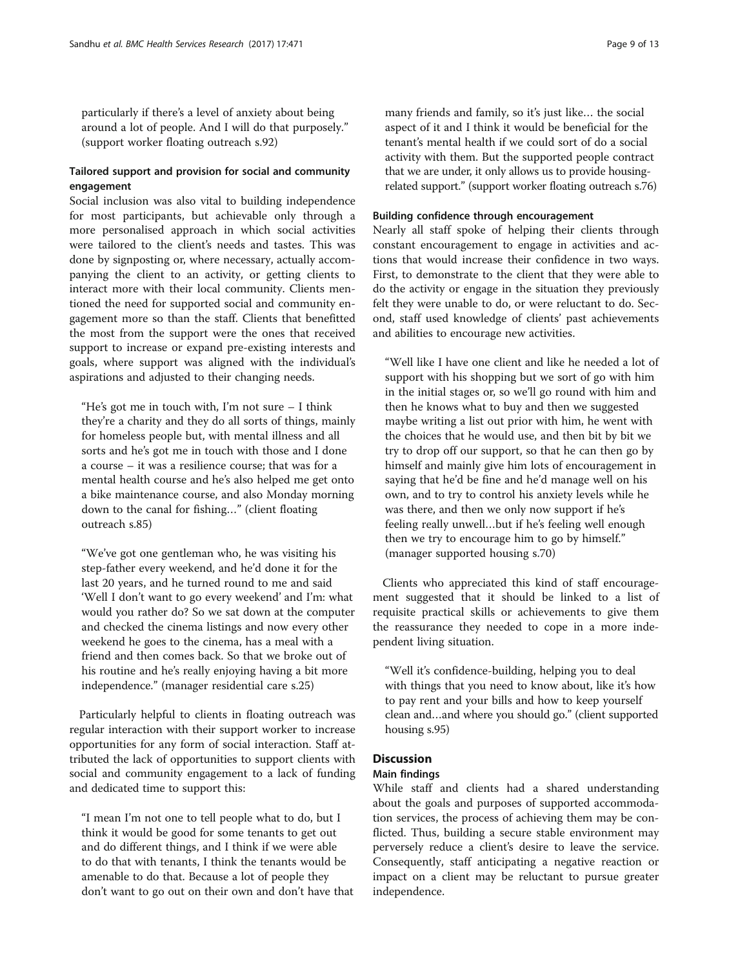particularly if there's a level of anxiety about being around a lot of people. And I will do that purposely." (support worker floating outreach s.92)

# Tailored support and provision for social and community engagement

Social inclusion was also vital to building independence for most participants, but achievable only through a more personalised approach in which social activities were tailored to the client's needs and tastes. This was done by signposting or, where necessary, actually accompanying the client to an activity, or getting clients to interact more with their local community. Clients mentioned the need for supported social and community engagement more so than the staff. Clients that benefitted the most from the support were the ones that received support to increase or expand pre-existing interests and goals, where support was aligned with the individual's aspirations and adjusted to their changing needs.

"He's got me in touch with, I'm not sure  $-1$  think they're a charity and they do all sorts of things, mainly for homeless people but, with mental illness and all sorts and he's got me in touch with those and I done a course – it was a resilience course; that was for a mental health course and he's also helped me get onto a bike maintenance course, and also Monday morning down to the canal for fishing…" (client floating outreach s.85)

"We've got one gentleman who, he was visiting his step-father every weekend, and he'd done it for the last 20 years, and he turned round to me and said 'Well I don't want to go every weekend' and I'm: what would you rather do? So we sat down at the computer and checked the cinema listings and now every other weekend he goes to the cinema, has a meal with a friend and then comes back. So that we broke out of his routine and he's really enjoying having a bit more independence." (manager residential care s.25)

Particularly helpful to clients in floating outreach was regular interaction with their support worker to increase opportunities for any form of social interaction. Staff attributed the lack of opportunities to support clients with social and community engagement to a lack of funding and dedicated time to support this:

"I mean I'm not one to tell people what to do, but I think it would be good for some tenants to get out and do different things, and I think if we were able to do that with tenants, I think the tenants would be amenable to do that. Because a lot of people they don't want to go out on their own and don't have that many friends and family, so it's just like… the social aspect of it and I think it would be beneficial for the tenant's mental health if we could sort of do a social activity with them. But the supported people contract that we are under, it only allows us to provide housingrelated support." (support worker floating outreach s.76)

# Building confidence through encouragement

Nearly all staff spoke of helping their clients through constant encouragement to engage in activities and actions that would increase their confidence in two ways. First, to demonstrate to the client that they were able to do the activity or engage in the situation they previously felt they were unable to do, or were reluctant to do. Second, staff used knowledge of clients' past achievements and abilities to encourage new activities.

"Well like I have one client and like he needed a lot of support with his shopping but we sort of go with him in the initial stages or, so we'll go round with him and then he knows what to buy and then we suggested maybe writing a list out prior with him, he went with the choices that he would use, and then bit by bit we try to drop off our support, so that he can then go by himself and mainly give him lots of encouragement in saying that he'd be fine and he'd manage well on his own, and to try to control his anxiety levels while he was there, and then we only now support if he's feeling really unwell…but if he's feeling well enough then we try to encourage him to go by himself." (manager supported housing s.70)

Clients who appreciated this kind of staff encouragement suggested that it should be linked to a list of requisite practical skills or achievements to give them the reassurance they needed to cope in a more independent living situation.

"Well it's confidence-building, helping you to deal with things that you need to know about, like it's how to pay rent and your bills and how to keep yourself clean and…and where you should go." (client supported housing s.95)

# **Discussion**

# Main findings

While staff and clients had a shared understanding about the goals and purposes of supported accommodation services, the process of achieving them may be conflicted. Thus, building a secure stable environment may perversely reduce a client's desire to leave the service. Consequently, staff anticipating a negative reaction or impact on a client may be reluctant to pursue greater independence.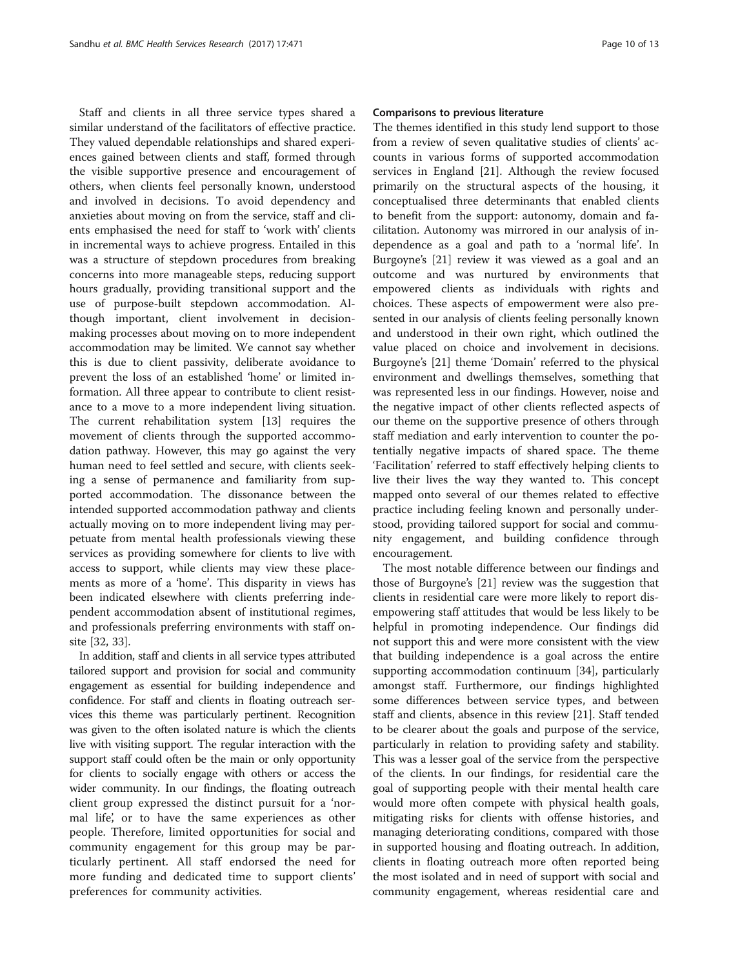Staff and clients in all three service types shared a similar understand of the facilitators of effective practice. They valued dependable relationships and shared experiences gained between clients and staff, formed through the visible supportive presence and encouragement of others, when clients feel personally known, understood and involved in decisions. To avoid dependency and anxieties about moving on from the service, staff and clients emphasised the need for staff to 'work with' clients in incremental ways to achieve progress. Entailed in this was a structure of stepdown procedures from breaking concerns into more manageable steps, reducing support hours gradually, providing transitional support and the use of purpose-built stepdown accommodation. Although important, client involvement in decisionmaking processes about moving on to more independent accommodation may be limited. We cannot say whether this is due to client passivity, deliberate avoidance to prevent the loss of an established 'home' or limited information. All three appear to contribute to client resistance to a move to a more independent living situation. The current rehabilitation system [\[13\]](#page-11-0) requires the movement of clients through the supported accommodation pathway. However, this may go against the very human need to feel settled and secure, with clients seeking a sense of permanence and familiarity from supported accommodation. The dissonance between the intended supported accommodation pathway and clients actually moving on to more independent living may perpetuate from mental health professionals viewing these services as providing somewhere for clients to live with access to support, while clients may view these placements as more of a 'home'. This disparity in views has been indicated elsewhere with clients preferring independent accommodation absent of institutional regimes, and professionals preferring environments with staff onsite [[32, 33](#page-12-0)].

In addition, staff and clients in all service types attributed tailored support and provision for social and community engagement as essential for building independence and confidence. For staff and clients in floating outreach services this theme was particularly pertinent. Recognition was given to the often isolated nature is which the clients live with visiting support. The regular interaction with the support staff could often be the main or only opportunity for clients to socially engage with others or access the wider community. In our findings, the floating outreach client group expressed the distinct pursuit for a 'normal life', or to have the same experiences as other people. Therefore, limited opportunities for social and community engagement for this group may be particularly pertinent. All staff endorsed the need for more funding and dedicated time to support clients' preferences for community activities.

# Comparisons to previous literature

The themes identified in this study lend support to those from a review of seven qualitative studies of clients' accounts in various forms of supported accommodation services in England [\[21](#page-12-0)]. Although the review focused primarily on the structural aspects of the housing, it conceptualised three determinants that enabled clients to benefit from the support: autonomy, domain and facilitation. Autonomy was mirrored in our analysis of independence as a goal and path to a 'normal life'. In Burgoyne's [\[21](#page-12-0)] review it was viewed as a goal and an outcome and was nurtured by environments that empowered clients as individuals with rights and choices. These aspects of empowerment were also presented in our analysis of clients feeling personally known and understood in their own right, which outlined the value placed on choice and involvement in decisions. Burgoyne's [[21](#page-12-0)] theme 'Domain' referred to the physical environment and dwellings themselves, something that was represented less in our findings. However, noise and the negative impact of other clients reflected aspects of our theme on the supportive presence of others through staff mediation and early intervention to counter the potentially negative impacts of shared space. The theme 'Facilitation' referred to staff effectively helping clients to live their lives the way they wanted to. This concept mapped onto several of our themes related to effective practice including feeling known and personally understood, providing tailored support for social and community engagement, and building confidence through encouragement.

The most notable difference between our findings and those of Burgoyne's [\[21\]](#page-12-0) review was the suggestion that clients in residential care were more likely to report disempowering staff attitudes that would be less likely to be helpful in promoting independence. Our findings did not support this and were more consistent with the view that building independence is a goal across the entire supporting accommodation continuum [\[34](#page-12-0)], particularly amongst staff. Furthermore, our findings highlighted some differences between service types, and between staff and clients, absence in this review [\[21](#page-12-0)]. Staff tended to be clearer about the goals and purpose of the service, particularly in relation to providing safety and stability. This was a lesser goal of the service from the perspective of the clients. In our findings, for residential care the goal of supporting people with their mental health care would more often compete with physical health goals, mitigating risks for clients with offense histories, and managing deteriorating conditions, compared with those in supported housing and floating outreach. In addition, clients in floating outreach more often reported being the most isolated and in need of support with social and community engagement, whereas residential care and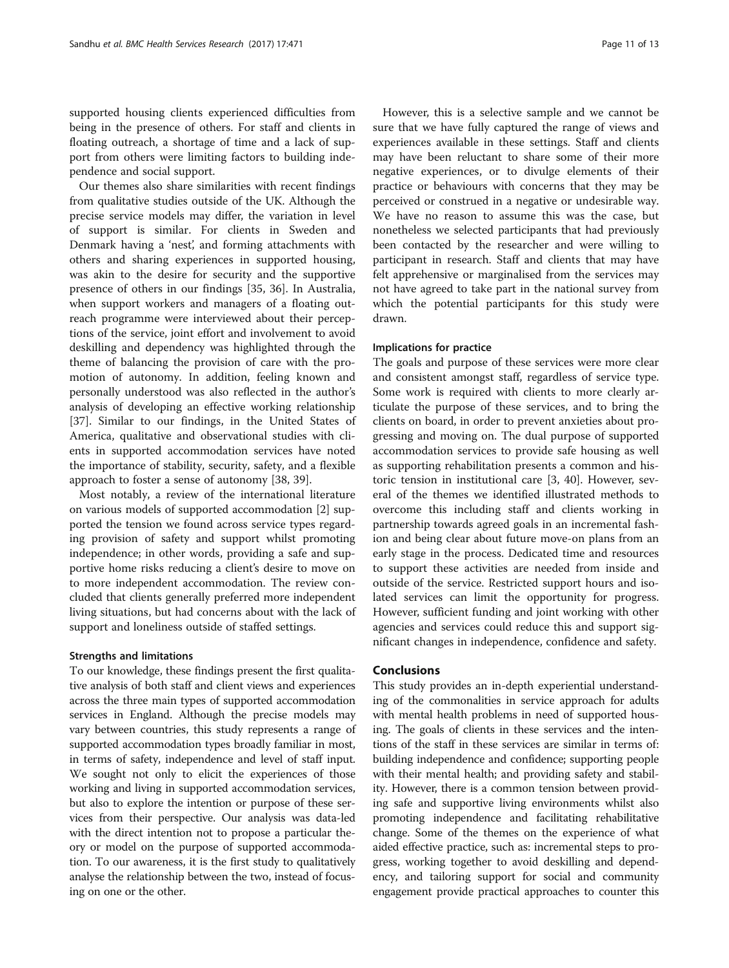supported housing clients experienced difficulties from being in the presence of others. For staff and clients in floating outreach, a shortage of time and a lack of support from others were limiting factors to building independence and social support.

Our themes also share similarities with recent findings from qualitative studies outside of the UK. Although the precise service models may differ, the variation in level of support is similar. For clients in Sweden and Denmark having a 'nest', and forming attachments with others and sharing experiences in supported housing, was akin to the desire for security and the supportive presence of others in our findings [[35, 36](#page-12-0)]. In Australia, when support workers and managers of a floating outreach programme were interviewed about their perceptions of the service, joint effort and involvement to avoid deskilling and dependency was highlighted through the theme of balancing the provision of care with the promotion of autonomy. In addition, feeling known and personally understood was also reflected in the author's analysis of developing an effective working relationship [[37\]](#page-12-0). Similar to our findings, in the United States of America, qualitative and observational studies with clients in supported accommodation services have noted the importance of stability, security, safety, and a flexible approach to foster a sense of autonomy [[38, 39\]](#page-12-0).

Most notably, a review of the international literature on various models of supported accommodation [[2\]](#page-11-0) supported the tension we found across service types regarding provision of safety and support whilst promoting independence; in other words, providing a safe and supportive home risks reducing a client's desire to move on to more independent accommodation. The review concluded that clients generally preferred more independent living situations, but had concerns about with the lack of support and loneliness outside of staffed settings.

#### Strengths and limitations

To our knowledge, these findings present the first qualitative analysis of both staff and client views and experiences across the three main types of supported accommodation services in England. Although the precise models may vary between countries, this study represents a range of supported accommodation types broadly familiar in most, in terms of safety, independence and level of staff input. We sought not only to elicit the experiences of those working and living in supported accommodation services, but also to explore the intention or purpose of these services from their perspective. Our analysis was data-led with the direct intention not to propose a particular theory or model on the purpose of supported accommodation. To our awareness, it is the first study to qualitatively analyse the relationship between the two, instead of focusing on one or the other.

However, this is a selective sample and we cannot be sure that we have fully captured the range of views and experiences available in these settings. Staff and clients may have been reluctant to share some of their more negative experiences, or to divulge elements of their practice or behaviours with concerns that they may be perceived or construed in a negative or undesirable way. We have no reason to assume this was the case, but nonetheless we selected participants that had previously been contacted by the researcher and were willing to participant in research. Staff and clients that may have felt apprehensive or marginalised from the services may not have agreed to take part in the national survey from which the potential participants for this study were drawn.

#### Implications for practice

The goals and purpose of these services were more clear and consistent amongst staff, regardless of service type. Some work is required with clients to more clearly articulate the purpose of these services, and to bring the clients on board, in order to prevent anxieties about progressing and moving on. The dual purpose of supported accommodation services to provide safe housing as well as supporting rehabilitation presents a common and historic tension in institutional care [\[3](#page-11-0), [40](#page-12-0)]. However, several of the themes we identified illustrated methods to overcome this including staff and clients working in partnership towards agreed goals in an incremental fashion and being clear about future move-on plans from an early stage in the process. Dedicated time and resources to support these activities are needed from inside and outside of the service. Restricted support hours and isolated services can limit the opportunity for progress. However, sufficient funding and joint working with other agencies and services could reduce this and support significant changes in independence, confidence and safety.

# Conclusions

This study provides an in-depth experiential understanding of the commonalities in service approach for adults with mental health problems in need of supported housing. The goals of clients in these services and the intentions of the staff in these services are similar in terms of: building independence and confidence; supporting people with their mental health; and providing safety and stability. However, there is a common tension between providing safe and supportive living environments whilst also promoting independence and facilitating rehabilitative change. Some of the themes on the experience of what aided effective practice, such as: incremental steps to progress, working together to avoid deskilling and dependency, and tailoring support for social and community engagement provide practical approaches to counter this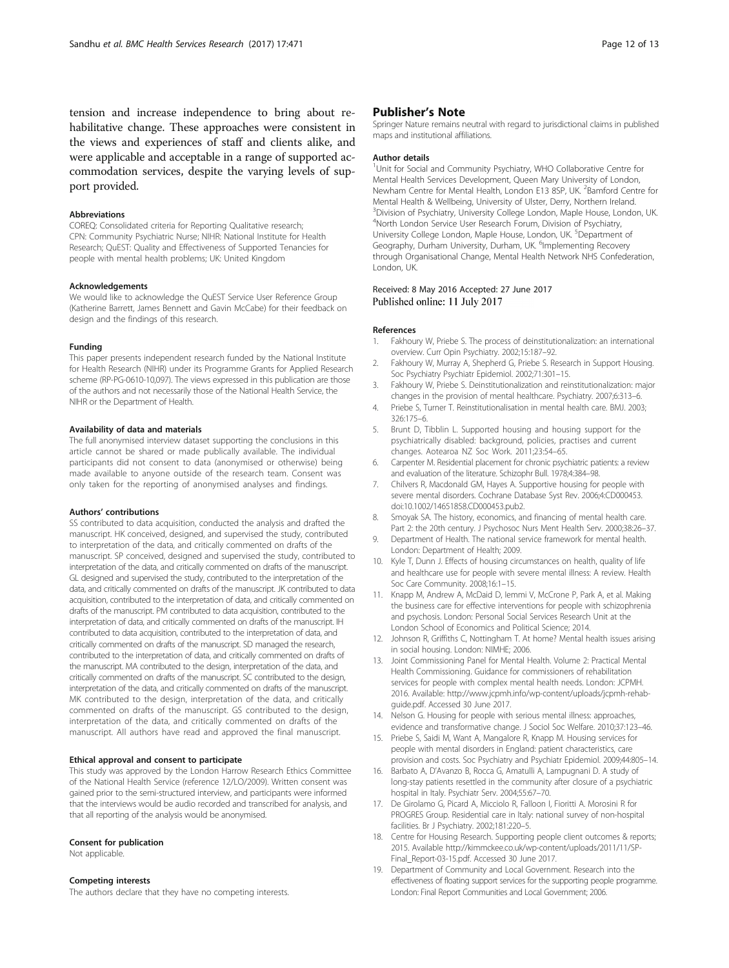<span id="page-11-0"></span>tension and increase independence to bring about rehabilitative change. These approaches were consistent in the views and experiences of staff and clients alike, and were applicable and acceptable in a range of supported accommodation services, despite the varying levels of support provided.

#### Abbreviations

COREQ: Consolidated criteria for Reporting Qualitative research; CPN: Community Psychiatric Nurse; NIHR: National Institute for Health Research; QuEST: Quality and Effectiveness of Supported Tenancies for people with mental health problems; UK: United Kingdom

#### Acknowledgements

We would like to acknowledge the QuEST Service User Reference Group (Katherine Barrett, James Bennett and Gavin McCabe) for their feedback on design and the findings of this research.

#### Funding

This paper presents independent research funded by the National Institute for Health Research (NIHR) under its Programme Grants for Applied Research scheme (RP-PG-0610-10,097). The views expressed in this publication are those of the authors and not necessarily those of the National Health Service, the NIHR or the Department of Health.

#### Availability of data and materials

The full anonymised interview dataset supporting the conclusions in this article cannot be shared or made publically available. The individual participants did not consent to data (anonymised or otherwise) being made available to anyone outside of the research team. Consent was only taken for the reporting of anonymised analyses and findings.

#### Authors' contributions

SS contributed to data acquisition, conducted the analysis and drafted the manuscript. HK conceived, designed, and supervised the study, contributed to interpretation of the data, and critically commented on drafts of the manuscript. SP conceived, designed and supervised the study, contributed to interpretation of the data, and critically commented on drafts of the manuscript. GL designed and supervised the study, contributed to the interpretation of the data, and critically commented on drafts of the manuscript. JK contributed to data acquisition, contributed to the interpretation of data, and critically commented on drafts of the manuscript. PM contributed to data acquisition, contributed to the interpretation of data, and critically commented on drafts of the manuscript. IH contributed to data acquisition, contributed to the interpretation of data, and critically commented on drafts of the manuscript. SD managed the research, contributed to the interpretation of data, and critically commented on drafts of the manuscript. MA contributed to the design, interpretation of the data, and critically commented on drafts of the manuscript. SC contributed to the design, interpretation of the data, and critically commented on drafts of the manuscript. MK contributed to the design, interpretation of the data, and critically commented on drafts of the manuscript. GS contributed to the design, interpretation of the data, and critically commented on drafts of the manuscript. All authors have read and approved the final manuscript.

#### Ethical approval and consent to participate

This study was approved by the London Harrow Research Ethics Committee of the National Health Service (reference 12/LO/2009). Written consent was gained prior to the semi-structured interview, and participants were informed that the interviews would be audio recorded and transcribed for analysis, and that all reporting of the analysis would be anonymised.

#### Consent for publication

Not applicable.

# Competing interests

The authors declare that they have no competing interests.

# Publisher's Note

Springer Nature remains neutral with regard to jurisdictional claims in published maps and institutional affiliations.

#### Author details

<sup>1</sup>Unit for Social and Community Psychiatry, WHO Collaborative Centre for Mental Health Services Development, Queen Mary University of London, Newham Centre for Mental Health, London E13 8SP, UK.<sup>2</sup> Bamford Centre for Mental Health & Wellbeing, University of Ulster, Derry, Northern Ireland. <sup>3</sup> Division of Psychiatry, University College London, Maple House, London, UK 4 North London Service User Research Forum, Division of Psychiatry, University College London, Maple House, London, UK. <sup>5</sup>Department of Geography, Durham University, Durham, UK. <sup>6</sup>Implementing Recovery through Organisational Change, Mental Health Network NHS Confederation, London, UK.

# Received: 8 May 2016 Accepted: 27 June 2017<br>Published online: 11 July 2017

#### References

- 1. Fakhoury W, Priebe S. The process of deinstitutionalization: an international overview. Curr Opin Psychiatry. 2002;15:187–92.
- 2. Fakhoury W, Murray A, Shepherd G, Priebe S. Research in Support Housing. Soc Psychiatry Psychiatr Epidemiol. 2002;71:301–15.
- 3. Fakhoury W, Priebe S. Deinstitutionalization and reinstitutionalization: major changes in the provision of mental healthcare. Psychiatry. 2007;6:313–6.
- 4. Priebe S, Turner T. Reinstitutionalisation in mental health care. BMJ. 2003; 326:175–6.
- 5. Brunt D, Tibblin L. Supported housing and housing support for the psychiatrically disabled: background, policies, practises and current changes. Aotearoa NZ Soc Work. 2011;23:54–65.
- 6. Carpenter M. Residential placement for chronic psychiatric patients: a review and evaluation of the literature. Schizophr Bull. 1978;4:384–98.
- 7. Chilvers R, Macdonald GM, Hayes A. Supportive housing for people with severe mental disorders. Cochrane Database Syst Rev. 2006;4:CD000453. doi[:10.1002/14651858.CD000453.pub2.](http://dx.doi.org/10.1002/14651858.CD000453.pub2)
- 8. Smoyak SA. The history, economics, and financing of mental health care. Part 2: the 20th century. J Psychosoc Nurs Ment Health Serv. 2000;38:26–37.
- 9. Department of Health. The national service framework for mental health. London: Department of Health; 2009.
- 10. Kyle T, Dunn J. Effects of housing circumstances on health, quality of life and healthcare use for people with severe mental illness: A review. Health Soc Care Community. 2008;16:1–15.
- 11. Knapp M, Andrew A, McDaid D, Iemmi V, McCrone P, Park A, et al. Making the business care for effective interventions for people with schizophrenia and psychosis. London: Personal Social Services Research Unit at the London School of Economics and Political Science; 2014.
- 12. Johnson R, Griffiths C, Nottingham T. At home? Mental health issues arising in social housing. London: NIMHE; 2006.
- 13. Joint Commissioning Panel for Mental Health. Volume 2: Practical Mental Health Commissioning. Guidance for commissioners of rehabilitation services for people with complex mental health needs. London: JCPMH. 2016. Available: [http://www.jcpmh.info/wp-content/uploads/jcpmh-rehab](http://www.jcpmh.info/wp-content/uploads/jcpmh-rehab-guide.pdf)[guide.pdf.](http://www.jcpmh.info/wp-content/uploads/jcpmh-rehab-guide.pdf) Accessed 30 June 2017.
- 14. Nelson G. Housing for people with serious mental illness: approaches, evidence and transformative change. J Sociol Soc Welfare. 2010;37:123–46.
- 15. Priebe S, Saidi M, Want A, Mangalore R, Knapp M. Housing services for people with mental disorders in England: patient characteristics, care provision and costs. Soc Psychiatry and Psychiatr Epidemiol. 2009;44:805–14.
- 16. Barbato A, D'Avanzo B, Rocca G, Amatulli A, Lampugnani D. A study of long-stay patients resettled in the community after closure of a psychiatric hospital in Italy. Psychiatr Serv. 2004;55:67–70.
- 17. De Girolamo G, Picard A, Micciolo R, Falloon I, Fioritti A. Morosini R for PROGRES Group. Residential care in Italy: national survey of non-hospital facilities. Br J Psychiatry. 2002;181:220–5.
- 18. Centre for Housing Research. Supporting people client outcomes & reports; 2015. Available [http://kimmckee.co.uk/wp-content/uploads/2011/11/SP-](http://kimmckee.co.uk/wp-content/uploads/2011/11/SP-Final_Report-03-15.pdf)[Final\\_Report-03-15.pdf.](http://kimmckee.co.uk/wp-content/uploads/2011/11/SP-Final_Report-03-15.pdf) Accessed 30 June 2017.
- 19. Department of Community and Local Government. Research into the effectiveness of floating support services for the supporting people programme. London: Final Report Communities and Local Government; 2006.